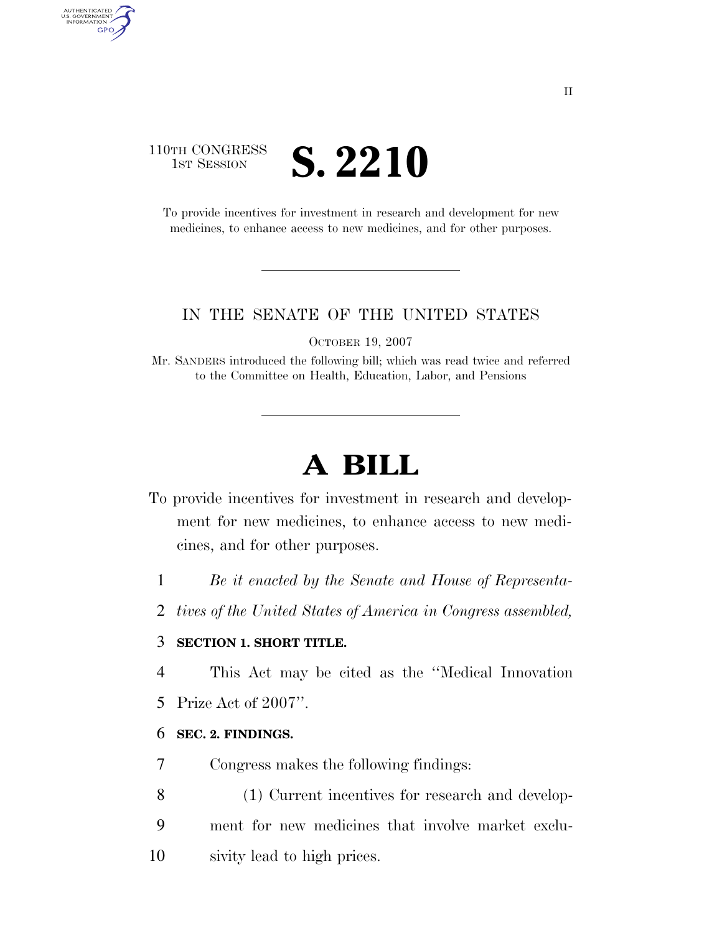# 110TH CONGRESS **IST SESSION S. 2210**

AUTHENTICATED<br>U.S. GOVERNMENT<br>INFORMATION GPO

> To provide incentives for investment in research and development for new medicines, to enhance access to new medicines, and for other purposes.

# IN THE SENATE OF THE UNITED STATES

OCTOBER 19, 2007

Mr. SANDERS introduced the following bill; which was read twice and referred to the Committee on Health, Education, Labor, and Pensions

# **A BILL**

- To provide incentives for investment in research and development for new medicines, to enhance access to new medicines, and for other purposes.
	- 1 *Be it enacted by the Senate and House of Representa-*
	- 2 *tives of the United States of America in Congress assembled,*

# 3 **SECTION 1. SHORT TITLE.**

- 4 This Act may be cited as the ''Medical Innovation
- 5 Prize Act of 2007''.

# 6 **SEC. 2. FINDINGS.**

- 7 Congress makes the following findings:
- 8 (1) Current incentives for research and develop-9 ment for new medicines that involve market exclu-10 sivity lead to high prices.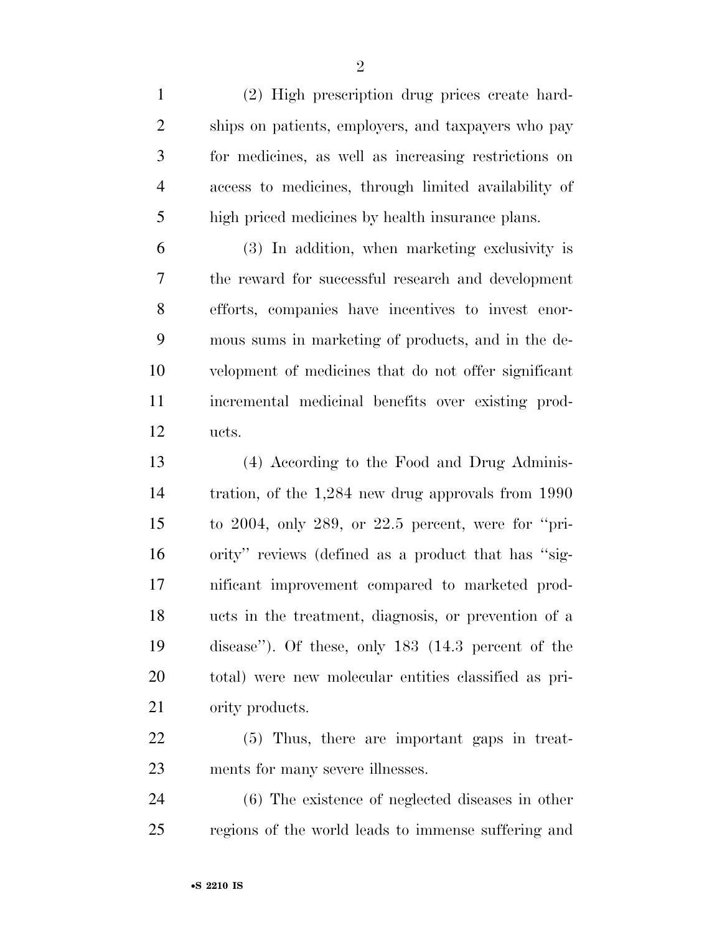(2) High prescription drug prices create hard- ships on patients, employers, and taxpayers who pay for medicines, as well as increasing restrictions on access to medicines, through limited availability of high priced medicines by health insurance plans.

 (3) In addition, when marketing exclusivity is the reward for successful research and development efforts, companies have incentives to invest enor- mous sums in marketing of products, and in the de- velopment of medicines that do not offer significant incremental medicinal benefits over existing prod-ucts.

 (4) According to the Food and Drug Adminis- tration, of the 1,284 new drug approvals from 1990 to 2004, only 289, or 22.5 percent, were for ''pri- ority'' reviews (defined as a product that has ''sig- nificant improvement compared to marketed prod- ucts in the treatment, diagnosis, or prevention of a disease''). Of these, only 183 (14.3 percent of the total) were new molecular entities classified as pri-ority products.

 (5) Thus, there are important gaps in treat-ments for many severe illnesses.

 (6) The existence of neglected diseases in other regions of the world leads to immense suffering and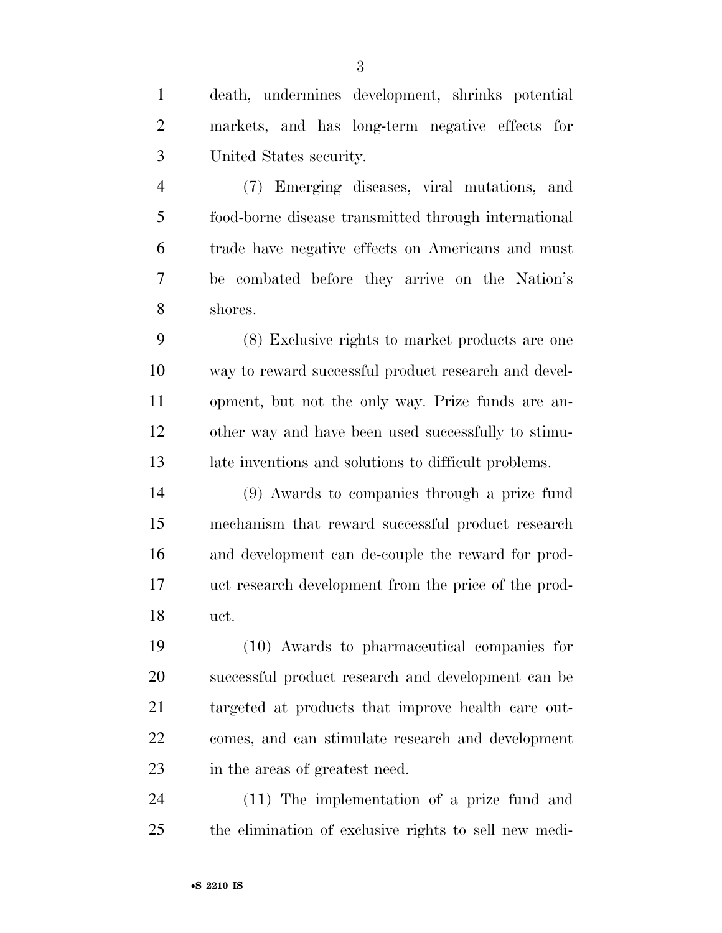death, undermines development, shrinks potential markets, and has long-term negative effects for United States security.

 (7) Emerging diseases, viral mutations, and food-borne disease transmitted through international trade have negative effects on Americans and must be combated before they arrive on the Nation's shores.

 (8) Exclusive rights to market products are one way to reward successful product research and devel- opment, but not the only way. Prize funds are an- other way and have been used successfully to stimu-late inventions and solutions to difficult problems.

 (9) Awards to companies through a prize fund mechanism that reward successful product research and development can de-couple the reward for prod- uct research development from the price of the prod-uct.

 (10) Awards to pharmaceutical companies for successful product research and development can be targeted at products that improve health care out- comes, and can stimulate research and development in the areas of greatest need.

 (11) The implementation of a prize fund and the elimination of exclusive rights to sell new medi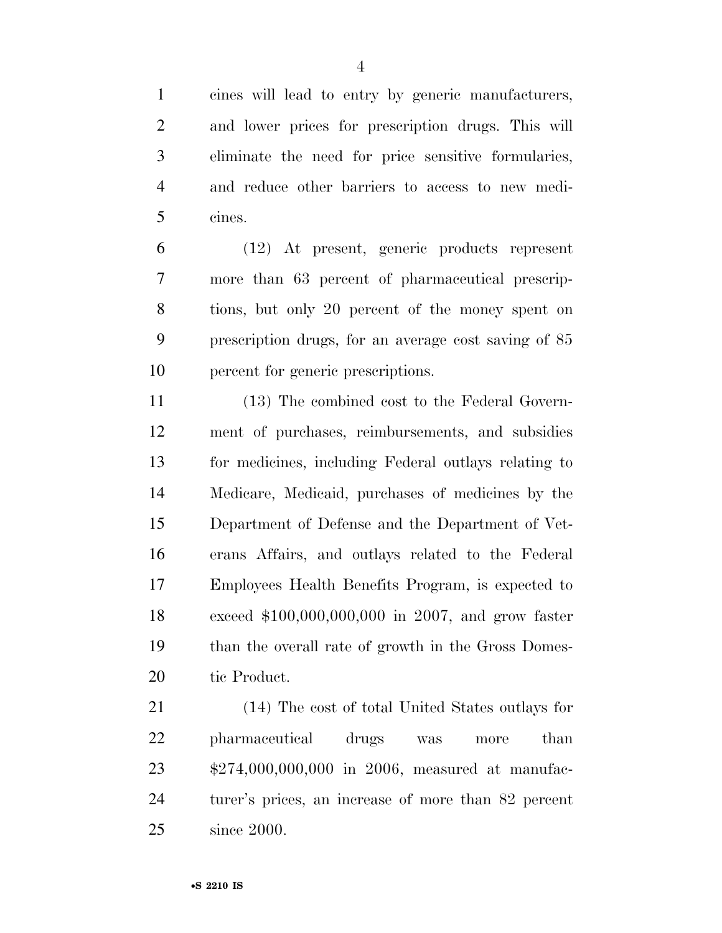cines will lead to entry by generic manufacturers, and lower prices for prescription drugs. This will eliminate the need for price sensitive formularies, and reduce other barriers to access to new medi-cines.

 (12) At present, generic products represent more than 63 percent of pharmaceutical prescrip- tions, but only 20 percent of the money spent on prescription drugs, for an average cost saving of 85 percent for generic prescriptions.

 (13) The combined cost to the Federal Govern- ment of purchases, reimbursements, and subsidies for medicines, including Federal outlays relating to Medicare, Medicaid, purchases of medicines by the Department of Defense and the Department of Vet- erans Affairs, and outlays related to the Federal Employees Health Benefits Program, is expected to exceed \$100,000,000,000 in 2007, and grow faster than the overall rate of growth in the Gross Domes-tic Product.

 (14) The cost of total United States outlays for pharmaceutical drugs was more than \$274,000,000,000 in 2006, measured at manufac- turer's prices, an increase of more than 82 percent since 2000.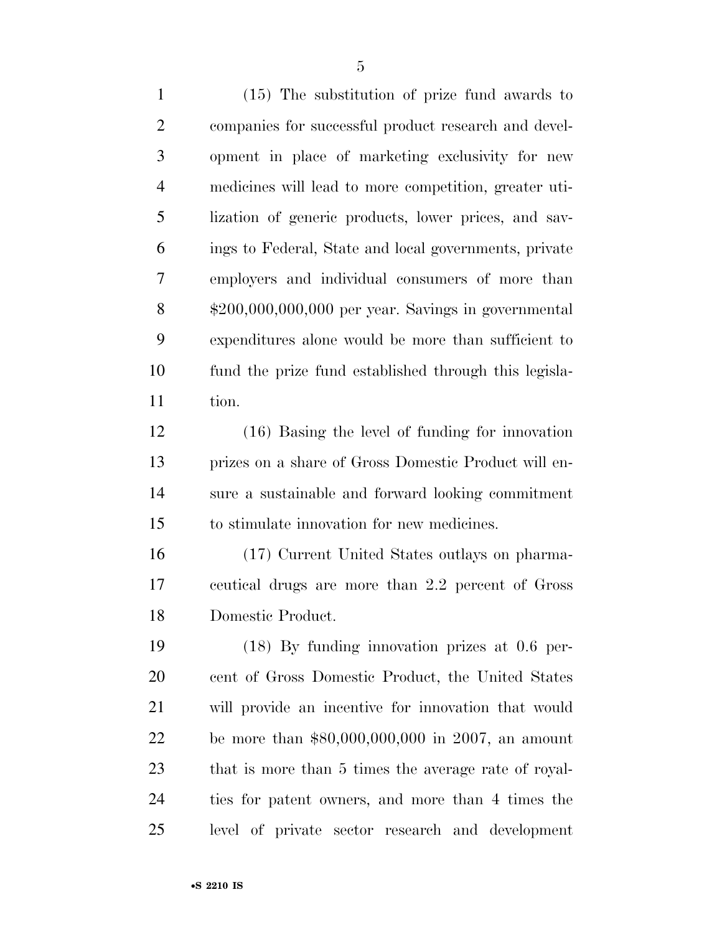(15) The substitution of prize fund awards to companies for successful product research and devel- opment in place of marketing exclusivity for new medicines will lead to more competition, greater uti- lization of generic products, lower prices, and sav- ings to Federal, State and local governments, private employers and individual consumers of more than \$200,000,000,000 per year. Savings in governmental expenditures alone would be more than sufficient to fund the prize fund established through this legisla-tion.

 (16) Basing the level of funding for innovation prizes on a share of Gross Domestic Product will en- sure a sustainable and forward looking commitment to stimulate innovation for new medicines.

 (17) Current United States outlays on pharma- ceutical drugs are more than 2.2 percent of Gross Domestic Product.

 (18) By funding innovation prizes at 0.6 per- cent of Gross Domestic Product, the United States will provide an incentive for innovation that would be more than \$80,000,000,000 in 2007, an amount that is more than 5 times the average rate of royal- ties for patent owners, and more than 4 times the level of private sector research and development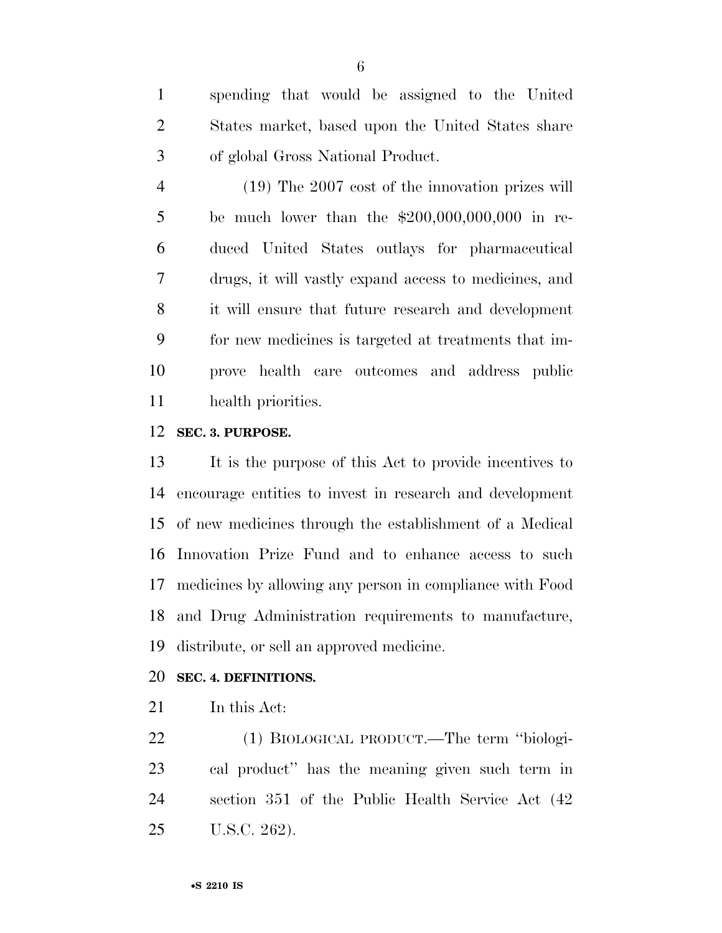spending that would be assigned to the United States market, based upon the United States share of global Gross National Product.

 (19) The 2007 cost of the innovation prizes will be much lower than the \$200,000,000,000 in re- duced United States outlays for pharmaceutical drugs, it will vastly expand access to medicines, and it will ensure that future research and development for new medicines is targeted at treatments that im- prove health care outcomes and address public health priorities.

# **SEC. 3. PURPOSE.**

 It is the purpose of this Act to provide incentives to encourage entities to invest in research and development of new medicines through the establishment of a Medical Innovation Prize Fund and to enhance access to such medicines by allowing any person in compliance with Food and Drug Administration requirements to manufacture, distribute, or sell an approved medicine.

# **SEC. 4. DEFINITIONS.**

In this Act:

 (1) BIOLOGICAL PRODUCT.—The term ''biologi- cal product'' has the meaning given such term in section 351 of the Public Health Service Act (42 U.S.C. 262).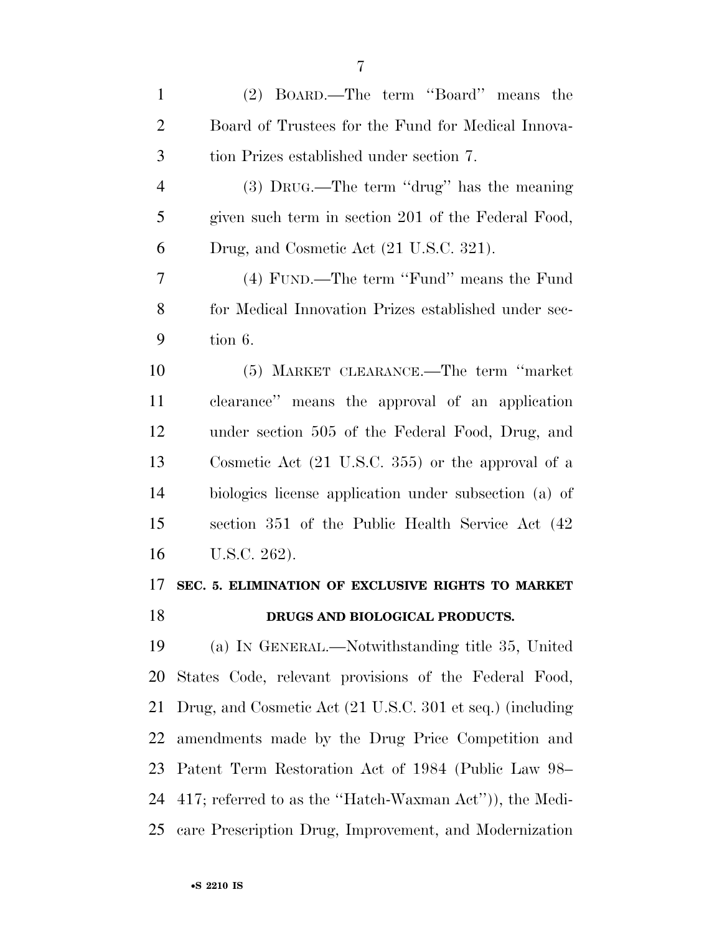(2) BOARD.—The term ''Board'' means the Board of Trustees for the Fund for Medical Innova- tion Prizes established under section 7. (3) DRUG.—The term ''drug'' has the meaning given such term in section 201 of the Federal Food, Drug, and Cosmetic Act (21 U.S.C. 321). (4) FUND.—The term ''Fund'' means the Fund for Medical Innovation Prizes established under sec- tion 6. (5) MARKET CLEARANCE.—The term ''market clearance'' means the approval of an application under section 505 of the Federal Food, Drug, and Cosmetic Act (21 U.S.C. 355) or the approval of a biologics license application under subsection (a) of section 351 of the Public Health Service Act (42 U.S.C. 262). **SEC. 5. ELIMINATION OF EXCLUSIVE RIGHTS TO MARKET DRUGS AND BIOLOGICAL PRODUCTS.**  (a) IN GENERAL.—Notwithstanding title 35, United States Code, relevant provisions of the Federal Food, Drug, and Cosmetic Act (21 U.S.C. 301 et seq.) (including amendments made by the Drug Price Competition and Patent Term Restoration Act of 1984 (Public Law 98– 417; referred to as the ''Hatch-Waxman Act'')), the Medi-care Prescription Drug, Improvement, and Modernization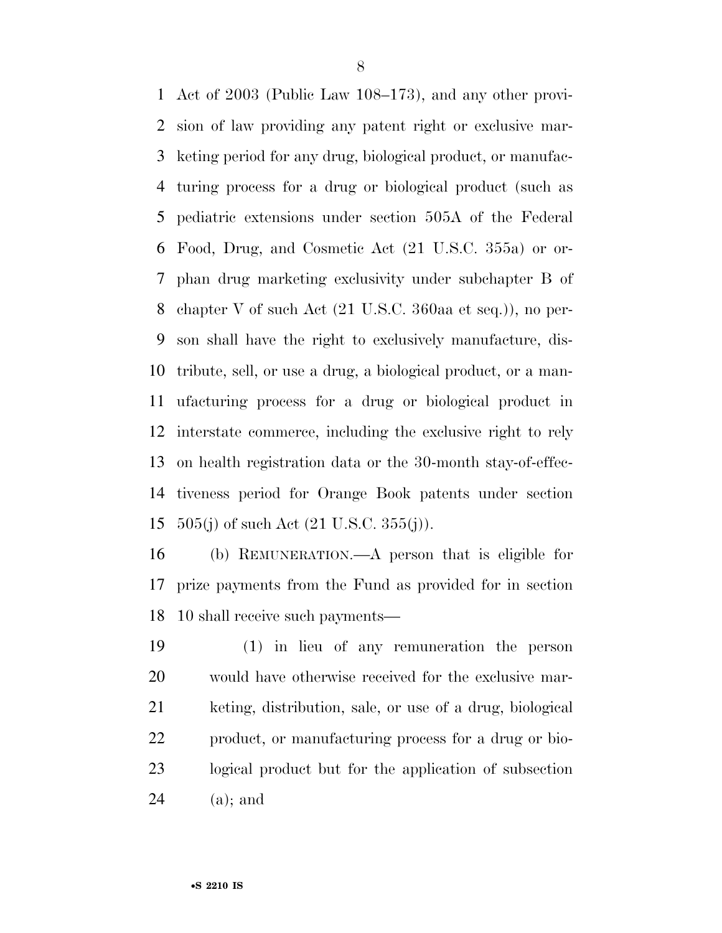Act of 2003 (Public Law 108–173), and any other provi- sion of law providing any patent right or exclusive mar- keting period for any drug, biological product, or manufac- turing process for a drug or biological product (such as pediatric extensions under section 505A of the Federal Food, Drug, and Cosmetic Act (21 U.S.C. 355a) or or- phan drug marketing exclusivity under subchapter B of chapter V of such Act (21 U.S.C. 360aa et seq.)), no per- son shall have the right to exclusively manufacture, dis- tribute, sell, or use a drug, a biological product, or a man- ufacturing process for a drug or biological product in interstate commerce, including the exclusive right to rely on health registration data or the 30-month stay-of-effec- tiveness period for Orange Book patents under section  $505(j)$  of such Act  $(21 \text{ U.S.C. } 355(j))$ .

 (b) REMUNERATION.—A person that is eligible for prize payments from the Fund as provided for in section 10 shall receive such payments—

 (1) in lieu of any remuneration the person would have otherwise received for the exclusive mar- keting, distribution, sale, or use of a drug, biological product, or manufacturing process for a drug or bio- logical product but for the application of subsection (a); and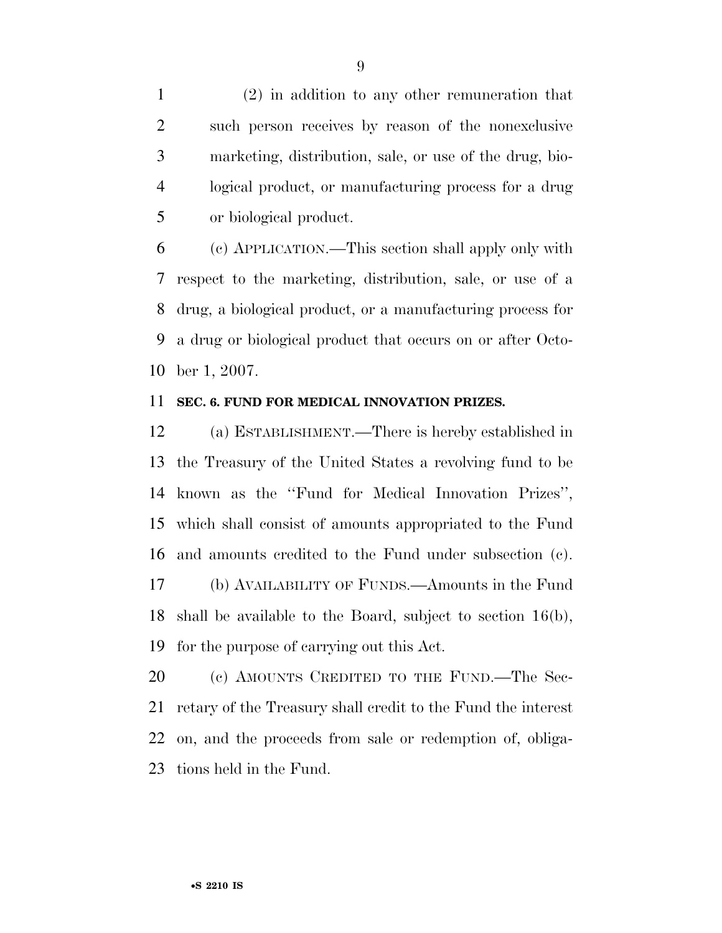(2) in addition to any other remuneration that such person receives by reason of the nonexclusive marketing, distribution, sale, or use of the drug, bio- logical product, or manufacturing process for a drug or biological product.

 (c) APPLICATION.—This section shall apply only with respect to the marketing, distribution, sale, or use of a drug, a biological product, or a manufacturing process for a drug or biological product that occurs on or after Octo-ber 1, 2007.

#### **SEC. 6. FUND FOR MEDICAL INNOVATION PRIZES.**

 (a) ESTABLISHMENT.—There is hereby established in the Treasury of the United States a revolving fund to be known as the ''Fund for Medical Innovation Prizes'', which shall consist of amounts appropriated to the Fund and amounts credited to the Fund under subsection (c). (b) AVAILABILITY OF FUNDS.—Amounts in the Fund shall be available to the Board, subject to section 16(b), for the purpose of carrying out this Act.

20 (c) AMOUNTS CREDITED TO THE FUND.—The Sec- retary of the Treasury shall credit to the Fund the interest on, and the proceeds from sale or redemption of, obliga-tions held in the Fund.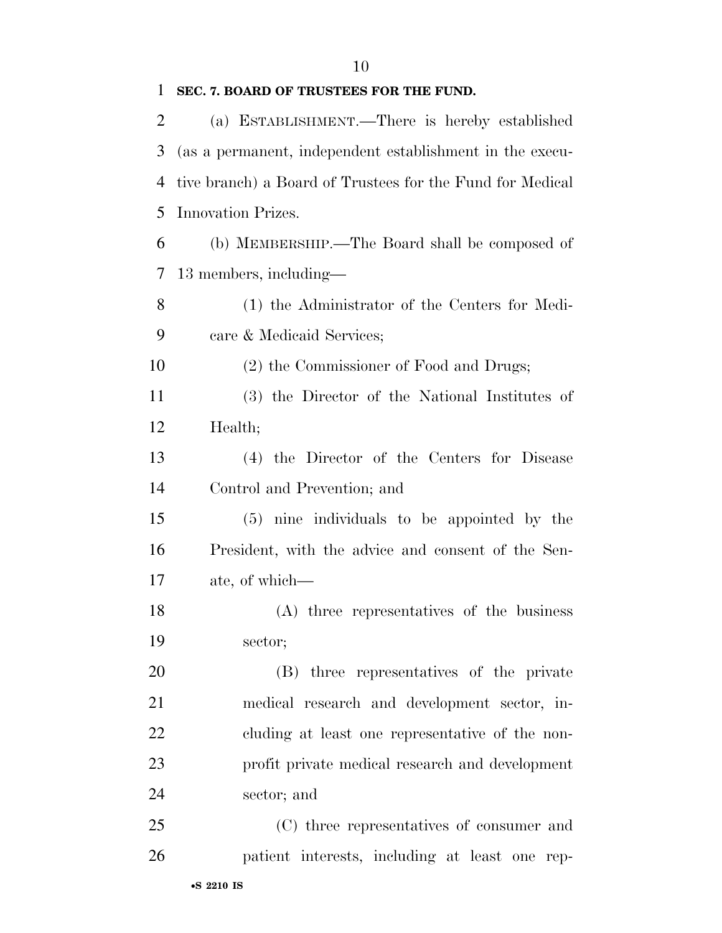**SEC. 7. BOARD OF TRUSTEES FOR THE FUND.** 

| 2  | (a) ESTABLISHMENT.—There is hereby established            |
|----|-----------------------------------------------------------|
| 3  | (as a permanent, independent establishment in the execu-  |
| 4  | tive branch) a Board of Trustees for the Fund for Medical |
| 5  | Innovation Prizes.                                        |
| 6  | (b) MEMBERSHIP.—The Board shall be composed of            |
| 7  | 13 members, including—                                    |
| 8  | (1) the Administrator of the Centers for Medi-            |
| 9  | care & Medicaid Services;                                 |
| 10 | (2) the Commissioner of Food and Drugs;                   |
| 11 | (3) the Director of the National Institutes of            |
| 12 | Health;                                                   |
| 13 | (4) the Director of the Centers for Disease               |
| 14 | Control and Prevention; and                               |
| 15 | (5) nine individuals to be appointed by the               |
| 16 | President, with the advice and consent of the Sen-        |
| 17 | ate, of which—                                            |
| 18 | (A) three representatives of the business                 |
| 19 | sector;                                                   |
| 20 | (B) three representatives of the private                  |
| 21 | medical research and development sector, in-              |
| 22 | cluding at least one representative of the non-           |
| 23 | profit private medical research and development           |
| 24 | sector; and                                               |
| 25 | (C) three representatives of consumer and                 |
| 26 | patient interests, including at least one rep-            |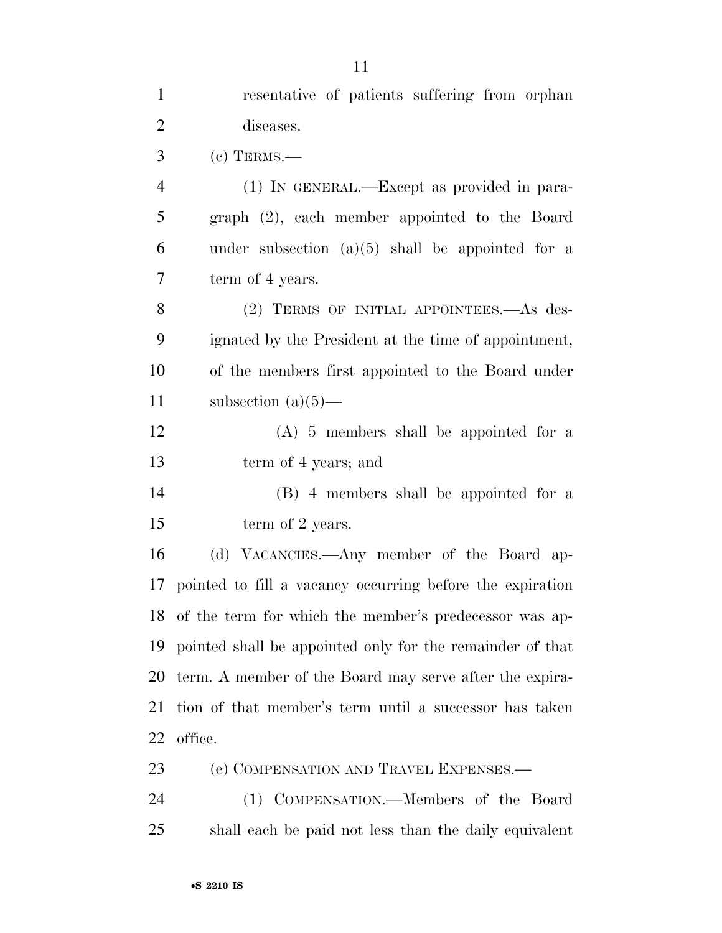| $\mathbf{1}$   | resentative of patients suffering from orphan                |
|----------------|--------------------------------------------------------------|
| $\overline{2}$ | diseases.                                                    |
| $\mathfrak{Z}$ | $(c)$ TERMS.—                                                |
| 4              | (1) IN GENERAL.—Except as provided in para-                  |
| 5              | graph (2), each member appointed to the Board                |
| 6              | under subsection $(a)(5)$ shall be appointed for a           |
| 7              | term of 4 years.                                             |
| 8              | (2) TERMS OF INITIAL APPOINTEES.—As des-                     |
| 9              | ignated by the President at the time of appointment,         |
| 10             | of the members first appointed to the Board under            |
| 11             | subsection $(a)(5)$ —                                        |
| 12             | $(A)$ 5 members shall be appointed for a                     |
| 13             | term of 4 years; and                                         |
| 14             | (B) 4 members shall be appointed for a                       |
| 15             | term of 2 years.                                             |
| 16             | (d) VACANCIES.—Any member of the Board ap-                   |
|                | 17 pointed to fill a vacancy occurring before the expiration |
| 18             | of the term for which the member's predecessor was ap-       |
| 19             | pointed shall be appointed only for the remainder of that    |
| 20             | term. A member of the Board may serve after the expira-      |
| 21             | tion of that member's term until a successor has taken       |
| 22             | office.                                                      |
| 23             | (e) COMPENSATION AND TRAVEL EXPENSES.—                       |
| 24             | (1) COMPENSATION.—Members of the Board                       |
| 25             | shall each be paid not less than the daily equivalent        |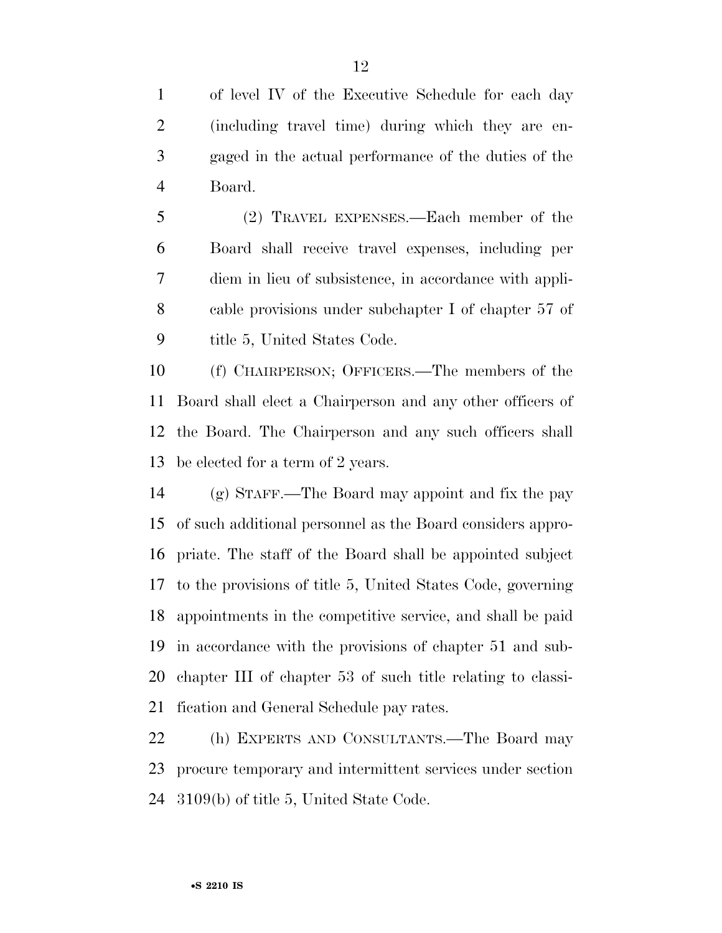of level IV of the Executive Schedule for each day (including travel time) during which they are en- gaged in the actual performance of the duties of the Board.

 (2) TRAVEL EXPENSES.—Each member of the Board shall receive travel expenses, including per diem in lieu of subsistence, in accordance with appli- cable provisions under subchapter I of chapter 57 of 9 title 5, United States Code.

 (f) CHAIRPERSON; OFFICERS.—The members of the Board shall elect a Chairperson and any other officers of the Board. The Chairperson and any such officers shall be elected for a term of 2 years.

 (g) STAFF.—The Board may appoint and fix the pay of such additional personnel as the Board considers appro- priate. The staff of the Board shall be appointed subject to the provisions of title 5, United States Code, governing appointments in the competitive service, and shall be paid in accordance with the provisions of chapter 51 and sub- chapter III of chapter 53 of such title relating to classi-fication and General Schedule pay rates.

 (h) EXPERTS AND CONSULTANTS.—The Board may procure temporary and intermittent services under section 3109(b) of title 5, United State Code.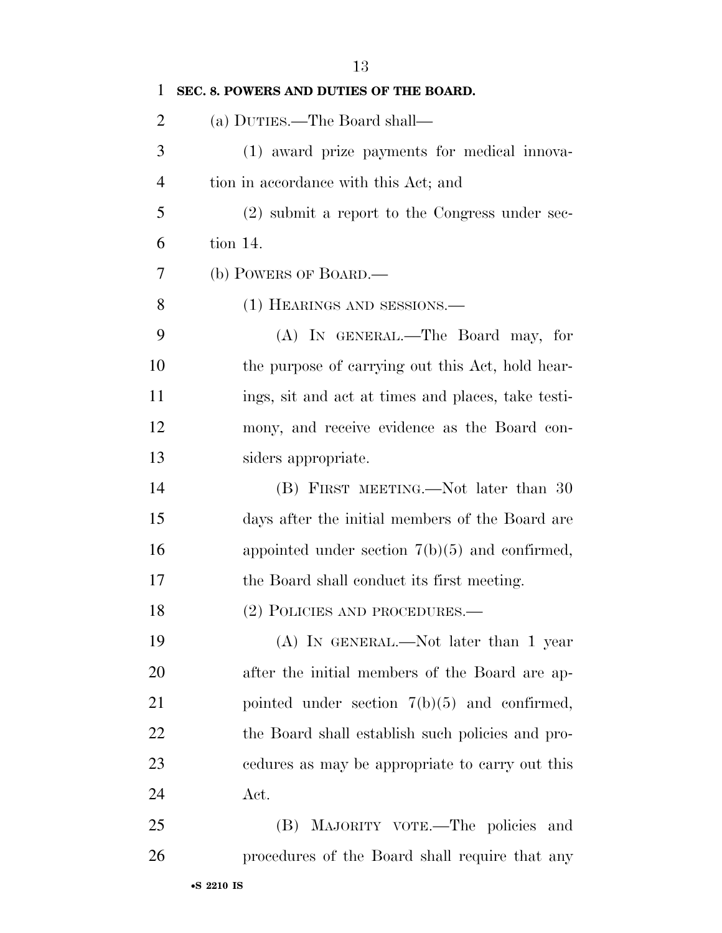| $\mathbf{1}$   | SEC. 8. POWERS AND DUTIES OF THE BOARD.            |
|----------------|----------------------------------------------------|
| $\overline{2}$ | (a) DUTIES.—The Board shall—                       |
| 3              | (1) award prize payments for medical innova-       |
| $\overline{4}$ | tion in accordance with this Act; and              |
| 5              | $(2)$ submit a report to the Congress under sec-   |
| 6              | tion 14.                                           |
| 7              | (b) POWERS OF BOARD.—                              |
| 8              | (1) HEARINGS AND SESSIONS.—                        |
| 9              | (A) IN GENERAL.—The Board may, for                 |
| 10             | the purpose of carrying out this Act, hold hear-   |
| 11             | ings, sit and act at times and places, take testi- |
| 12             | mony, and receive evidence as the Board con-       |
| 13             | siders appropriate.                                |
| 14             | (B) FIRST MEETING.—Not later than 30               |
| 15             | days after the initial members of the Board are    |
| 16             | appointed under section $7(b)(5)$ and confirmed,   |
| 17             | the Board shall conduct its first meeting.         |
| 18             | (2) POLICIES AND PROCEDURES.—                      |
| 19             | (A) IN GENERAL.—Not later than 1 year              |
| 20             | after the initial members of the Board are ap-     |
| 21             | pointed under section $7(b)(5)$ and confirmed,     |
| 22             | the Board shall establish such policies and pro-   |
| 23             | edures as may be appropriate to carry out this     |
| 24             | Act.                                               |
| 25             | (B) MAJORITY VOTE.—The policies and                |
| 26             | procedures of the Board shall require that any     |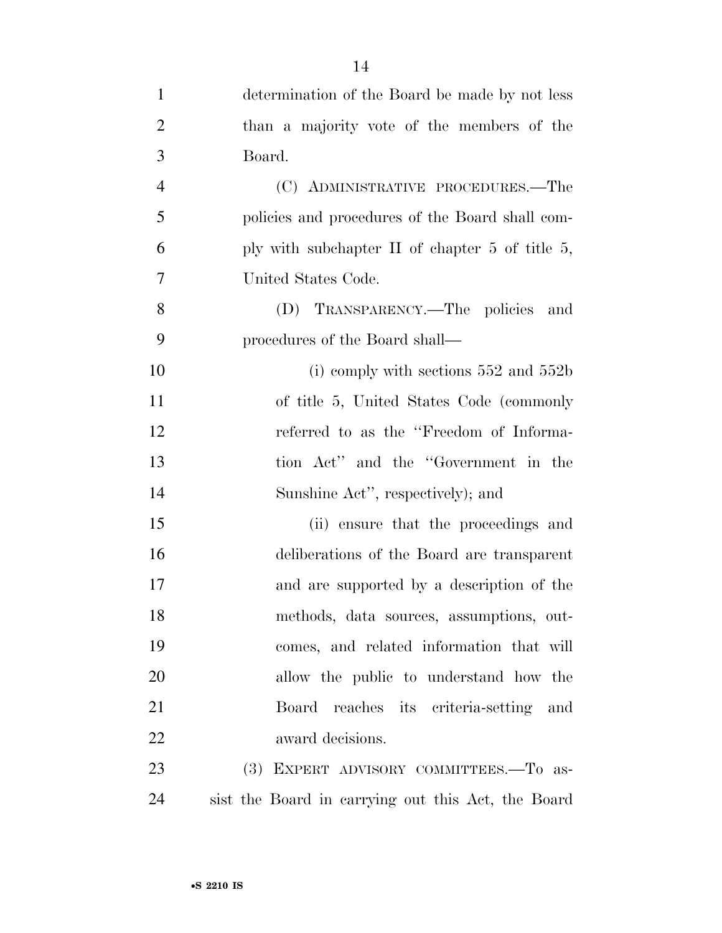| $\mathbf{1}$   | determination of the Board be made by not less     |
|----------------|----------------------------------------------------|
| $\overline{2}$ | than a majority vote of the members of the         |
| 3              | Board.                                             |
| $\overline{4}$ | (C) ADMINISTRATIVE PROCEDURES.—The                 |
| 5              | policies and procedures of the Board shall com-    |
| 6              | ply with subchapter $\Pi$ of chapter 5 of title 5, |
| $\overline{7}$ | United States Code.                                |
| 8              | (D) TRANSPARENCY.—The policies<br>and              |
| 9              | procedures of the Board shall—                     |
| 10             | (i) comply with sections $552$ and $552b$          |
| 11             | of title 5, United States Code (commonly           |
| 12             | referred to as the "Freedom of Informa-            |
| 13             | tion Act" and the "Government in the               |
| 14             | Sunshine Act", respectively); and                  |
| 15             | (ii) ensure that the proceedings and               |
| 16             | deliberations of the Board are transparent         |
| 17             | and are supported by a description of the          |
| 18             | methods, data sources, assumptions, out-           |
| 19             | comes, and related information that will           |
| 20             | allow the public to understand how the             |
| 21             | Board reaches its criteria-setting and             |
| 22             | award decisions.                                   |
| 23             | (3) EXPERT ADVISORY COMMITTEES.—To as-             |
| 24             | sist the Board in carrying out this Act, the Board |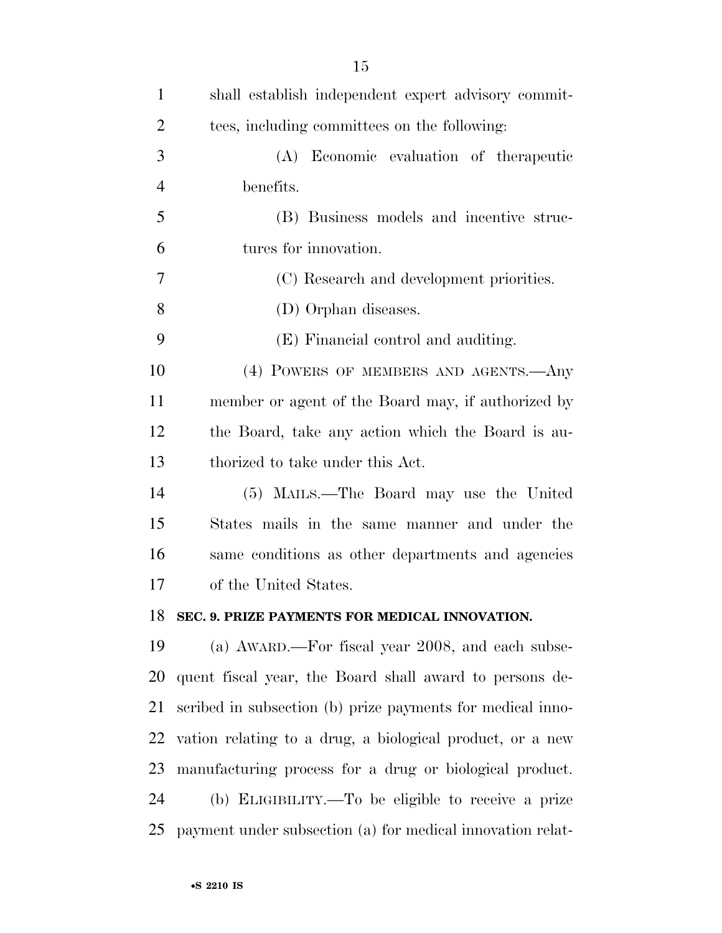| $\mathbf{1}$   | shall establish independent expert advisory commit-        |
|----------------|------------------------------------------------------------|
| $\overline{2}$ | tees, including committees on the following:               |
| 3              | (A) Economic evaluation of the rapeutic                    |
| $\overline{4}$ | benefits.                                                  |
| 5              | (B) Business models and incentive struc-                   |
| 6              | tures for innovation.                                      |
| 7              | (C) Research and development priorities.                   |
| 8              | (D) Orphan diseases.                                       |
| 9              | (E) Financial control and auditing.                        |
| 10             | (4) POWERS OF MEMBERS AND AGENTS. Any                      |
| 11             | member or agent of the Board may, if authorized by         |
| 12             | the Board, take any action which the Board is au-          |
| 13             | thorized to take under this Act.                           |
| 14             | (5) MAILS.—The Board may use the United                    |
| 15             | States mails in the same manner and under the              |
| 16             | same conditions as other departments and agencies          |
| 17             | of the United States.                                      |
| 18             | SEC. 9. PRIZE PAYMENTS FOR MEDICAL INNOVATION.             |
| 19             | (a) AWARD.—For fiscal year 2008, and each subse-           |
| 20             | quent fiscal year, the Board shall award to persons de-    |
| 21             | scribed in subsection (b) prize payments for medical inno- |
| 22             | vation relating to a drug, a biological product, or a new  |
| 23             | manufacturing process for a drug or biological product.    |
| 24             | (b) ELIGIBILITY.—To be eligible to receive a prize         |
| 25             | payment under subsection (a) for medical innovation relat- |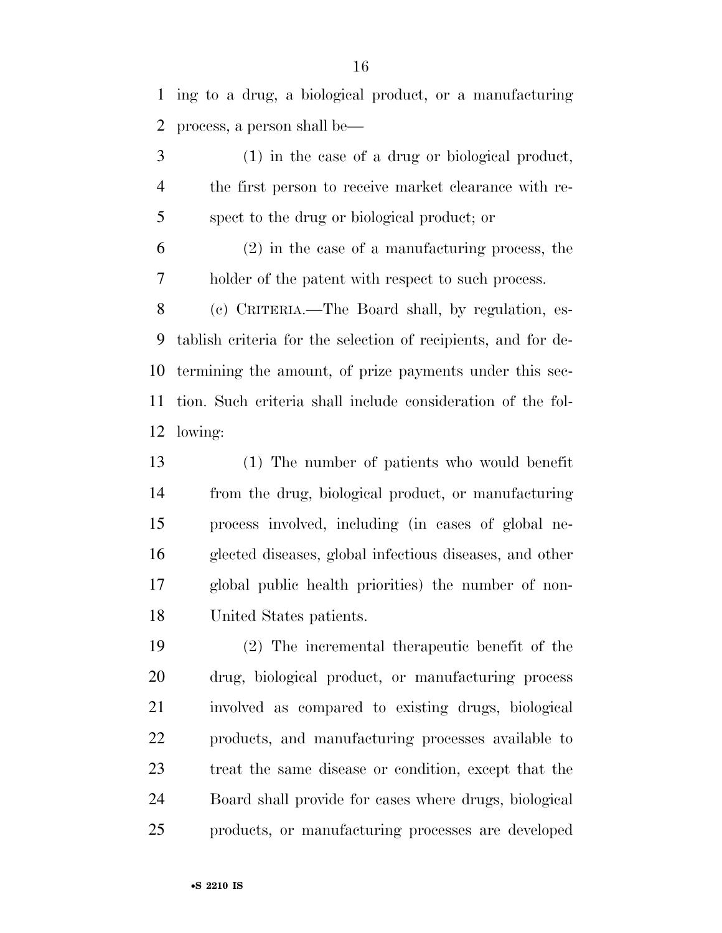ing to a drug, a biological product, or a manufacturing process, a person shall be—

 (1) in the case of a drug or biological product, the first person to receive market clearance with re-spect to the drug or biological product; or

 (2) in the case of a manufacturing process, the holder of the patent with respect to such process.

 (c) CRITERIA.—The Board shall, by regulation, es- tablish criteria for the selection of recipients, and for de- termining the amount, of prize payments under this sec- tion. Such criteria shall include consideration of the fol-lowing:

 (1) The number of patients who would benefit from the drug, biological product, or manufacturing process involved, including (in cases of global ne- glected diseases, global infectious diseases, and other global public health priorities) the number of non-United States patients.

 (2) The incremental therapeutic benefit of the drug, biological product, or manufacturing process involved as compared to existing drugs, biological products, and manufacturing processes available to treat the same disease or condition, except that the Board shall provide for cases where drugs, biological products, or manufacturing processes are developed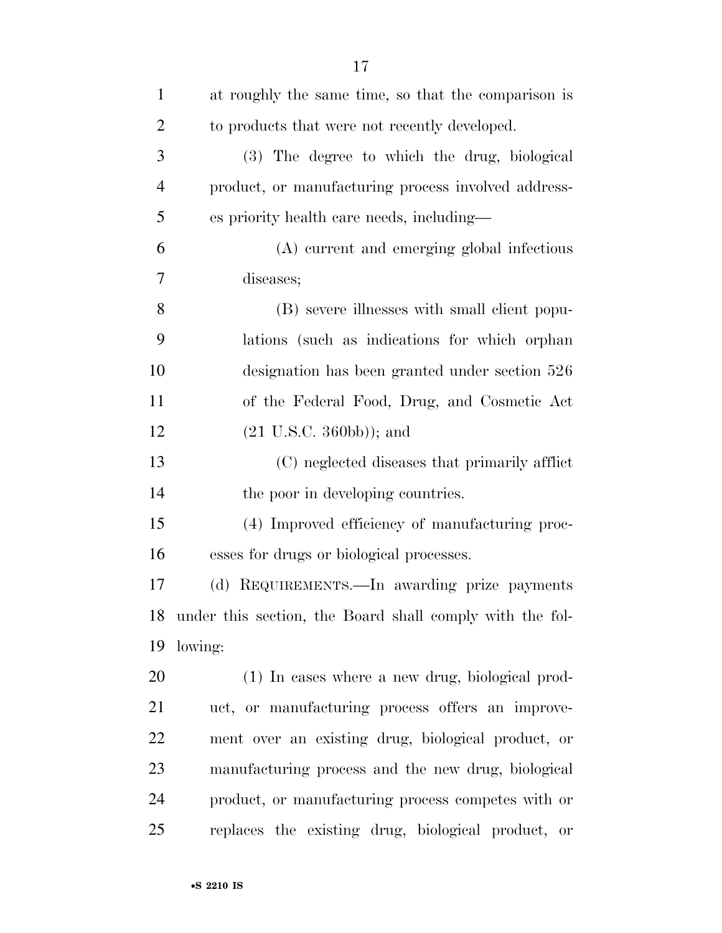| $\mathbf{1}$   | at roughly the same time, so that the comparison is         |
|----------------|-------------------------------------------------------------|
| $\overline{2}$ | to products that were not recently developed.               |
| 3              | (3) The degree to which the drug, biological                |
| $\overline{4}$ | product, or manufacturing process involved address-         |
| 5              | es priority health care needs, including—                   |
| 6              | (A) current and emerging global infectious                  |
| 7              | diseases;                                                   |
| 8              | (B) severe illnesses with small client popu-                |
| 9              | lations (such as indications for which orphan               |
| 10             | designation has been granted under section 526              |
| 11             | of the Federal Food, Drug, and Cosmetic Act                 |
| 12             | $(21 \text{ U.S.C. } 360 \text{bb})$ ); and                 |
| 13             | (C) neglected diseases that primarily afflict               |
| 14             | the poor in developing countries.                           |
| 15             | (4) Improved efficiency of manufacturing proc-              |
| 16             | esses for drugs or biological processes.                    |
| 17             | (d) REQUIREMENTS.—In awarding prize payments                |
|                | 18 under this section, the Board shall comply with the fol- |
| 19             | lowing:                                                     |
| 20             | (1) In cases where a new drug, biological prod-             |
| 21             | uct, or manufacturing process offers an improve-            |
| 22             | ment over an existing drug, biological product, or          |
| 23             | manufacturing process and the new drug, biological          |
| 24             | product, or manufacturing process competes with or          |
| 25             | replaces the existing drug, biological product, or          |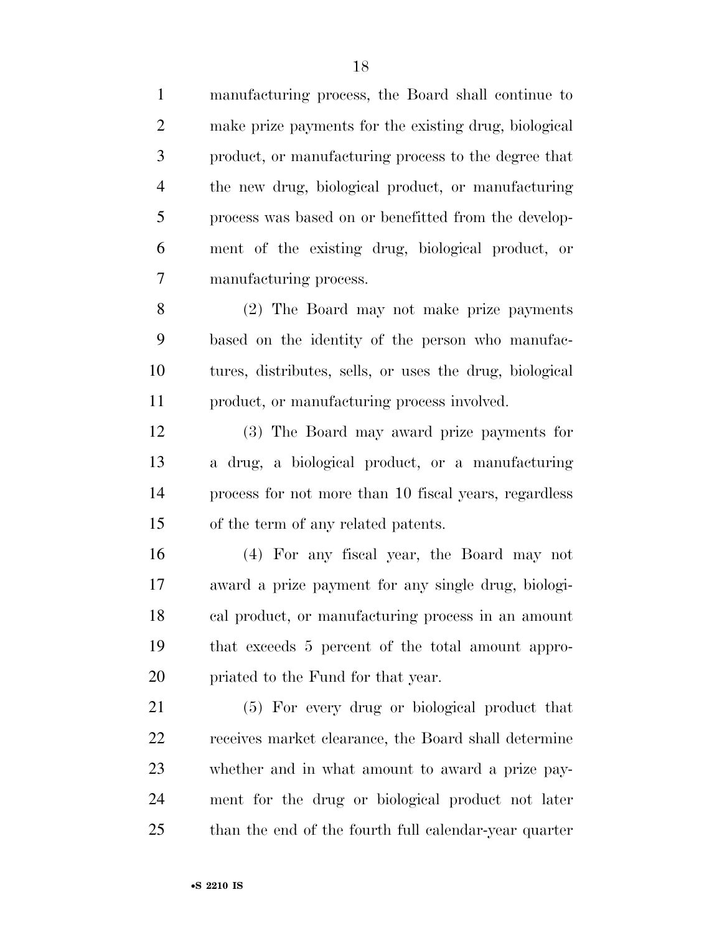manufacturing process, the Board shall continue to make prize payments for the existing drug, biological product, or manufacturing process to the degree that the new drug, biological product, or manufacturing process was based on or benefitted from the develop- ment of the existing drug, biological product, or manufacturing process. (2) The Board may not make prize payments based on the identity of the person who manufac- tures, distributes, sells, or uses the drug, biological product, or manufacturing process involved. (3) The Board may award prize payments for a drug, a biological product, or a manufacturing process for not more than 10 fiscal years, regardless of the term of any related patents. (4) For any fiscal year, the Board may not award a prize payment for any single drug, biologi- cal product, or manufacturing process in an amount that exceeds 5 percent of the total amount appro- priated to the Fund for that year. (5) For every drug or biological product that

 receives market clearance, the Board shall determine whether and in what amount to award a prize pay- ment for the drug or biological product not later than the end of the fourth full calendar-year quarter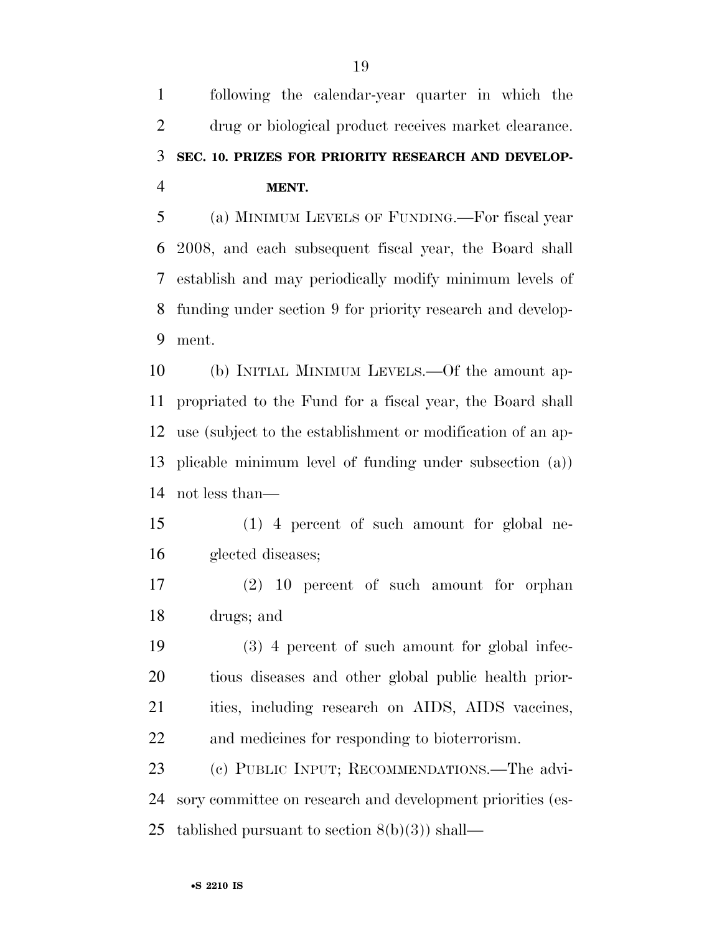following the calendar-year quarter in which the drug or biological product receives market clearance. **SEC. 10. PRIZES FOR PRIORITY RESEARCH AND DEVELOP-MENT.** 

 (a) MINIMUM LEVELS OF FUNDING.—For fiscal year 2008, and each subsequent fiscal year, the Board shall establish and may periodically modify minimum levels of funding under section 9 for priority research and develop-ment.

 (b) INITIAL MINIMUM LEVELS.—Of the amount ap- propriated to the Fund for a fiscal year, the Board shall use (subject to the establishment or modification of an ap- plicable minimum level of funding under subsection (a)) not less than—

 (1) 4 percent of such amount for global ne-glected diseases;

 (2) 10 percent of such amount for orphan drugs; and

 (3) 4 percent of such amount for global infec- tious diseases and other global public health prior-21 ities, including research on AIDS, AIDS vaccines, and medicines for responding to bioterrorism.

 (c) PUBLIC INPUT; RECOMMENDATIONS.—The advi- sory committee on research and development priorities (es-25 tablished pursuant to section  $8(b)(3)$  shall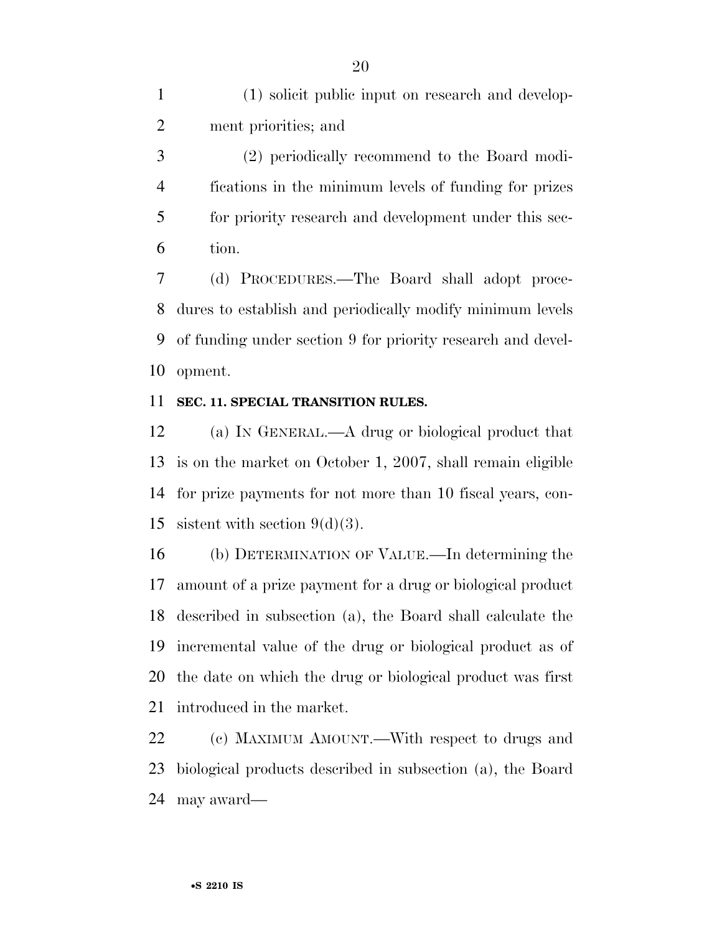(1) solicit public input on research and develop-ment priorities; and

 (2) periodically recommend to the Board modi- fications in the minimum levels of funding for prizes for priority research and development under this sec-tion.

 (d) PROCEDURES.—The Board shall adopt proce- dures to establish and periodically modify minimum levels of funding under section 9 for priority research and devel-opment.

#### **SEC. 11. SPECIAL TRANSITION RULES.**

 (a) IN GENERAL.—A drug or biological product that is on the market on October 1, 2007, shall remain eligible for prize payments for not more than 10 fiscal years, con-15 sistent with section  $9(d)(3)$ .

 (b) DETERMINATION OF VALUE.—In determining the amount of a prize payment for a drug or biological product described in subsection (a), the Board shall calculate the incremental value of the drug or biological product as of the date on which the drug or biological product was first introduced in the market.

 (c) MAXIMUM AMOUNT.—With respect to drugs and biological products described in subsection (a), the Board may award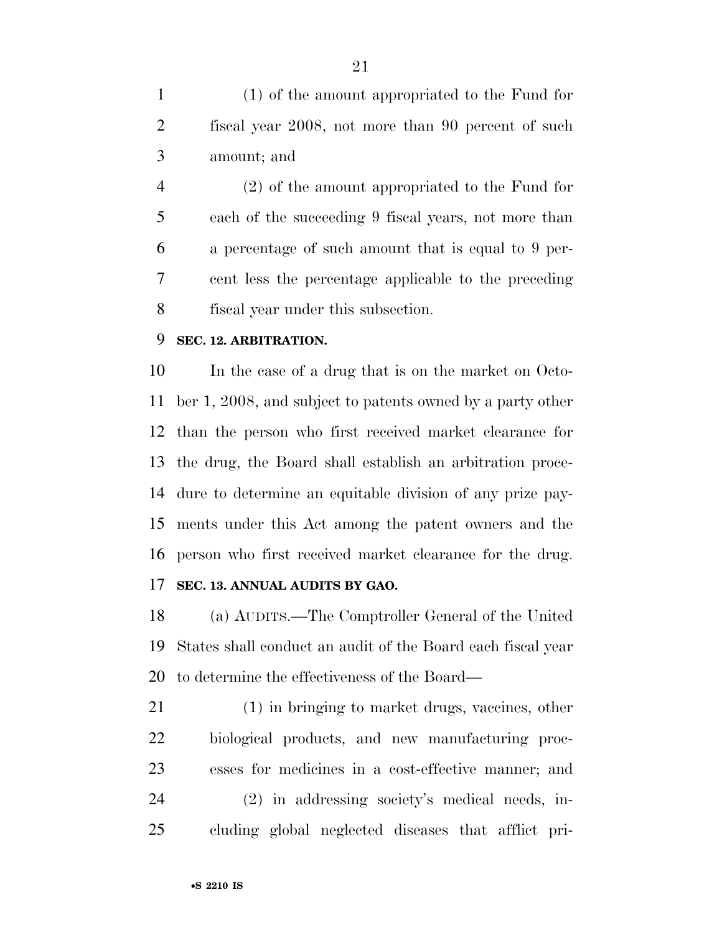(1) of the amount appropriated to the Fund for fiscal year 2008, not more than 90 percent of such amount; and

 (2) of the amount appropriated to the Fund for each of the succeeding 9 fiscal years, not more than a percentage of such amount that is equal to 9 per- cent less the percentage applicable to the preceding fiscal year under this subsection.

# **SEC. 12. ARBITRATION.**

 In the case of a drug that is on the market on Octo- ber 1, 2008, and subject to patents owned by a party other than the person who first received market clearance for the drug, the Board shall establish an arbitration proce- dure to determine an equitable division of any prize pay- ments under this Act among the patent owners and the person who first received market clearance for the drug.

# **SEC. 13. ANNUAL AUDITS BY GAO.**

 (a) AUDITS.—The Comptroller General of the United States shall conduct an audit of the Board each fiscal year to determine the effectiveness of the Board—

 (1) in bringing to market drugs, vaccines, other biological products, and new manufacturing proc- esses for medicines in a cost-effective manner; and (2) in addressing society's medical needs, in-cluding global neglected diseases that afflict pri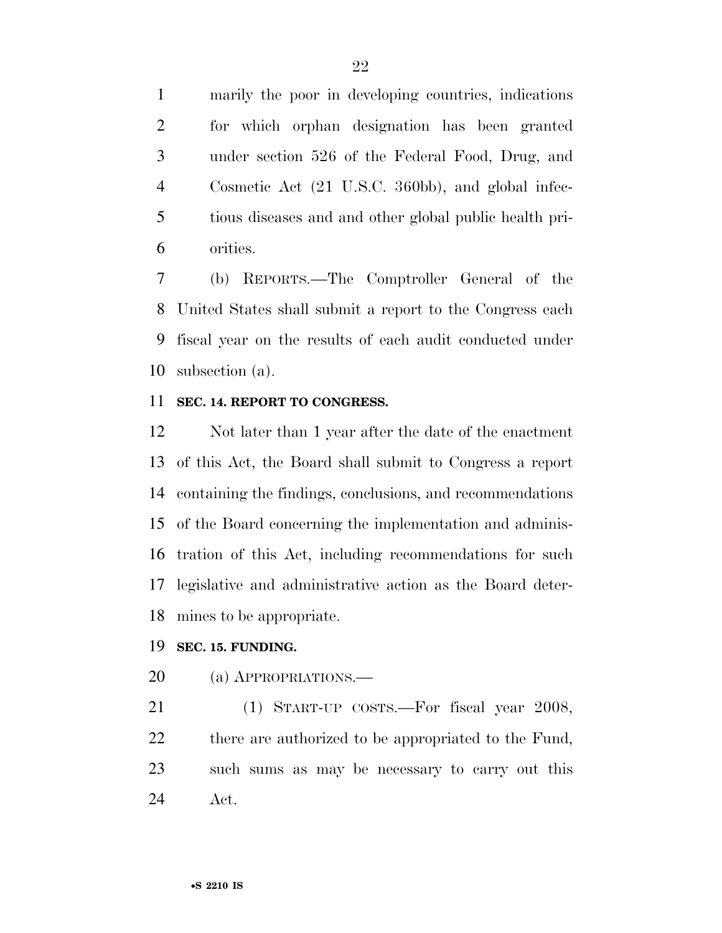marily the poor in developing countries, indications for which orphan designation has been granted under section 526 of the Federal Food, Drug, and Cosmetic Act (21 U.S.C. 360bb), and global infec- tious diseases and and other global public health pri-orities.

 (b) REPORTS.—The Comptroller General of the United States shall submit a report to the Congress each fiscal year on the results of each audit conducted under subsection (a).

# **SEC. 14. REPORT TO CONGRESS.**

 Not later than 1 year after the date of the enactment of this Act, the Board shall submit to Congress a report containing the findings, conclusions, and recommendations of the Board concerning the implementation and adminis- tration of this Act, including recommendations for such legislative and administrative action as the Board deter-mines to be appropriate.

#### **SEC. 15. FUNDING.**

(a) APPROPRIATIONS.—

 (1) START-UP COSTS.—For fiscal year 2008, 22 there are authorized to be appropriated to the Fund, such sums as may be necessary to carry out this Act.